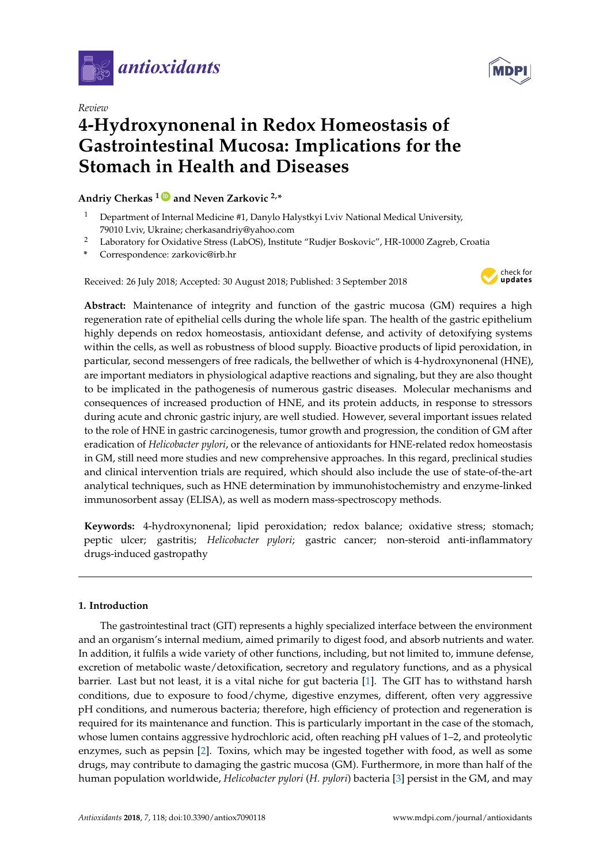

*Review*

# **4-Hydroxynonenal in Redox Homeostasis of Gastrointestinal Mucosa: Implications for the Stomach in Health and Diseases**

# **Andriy Cherkas <sup>1</sup> [ID](https://orcid.org/0000-0002-6652-6983) and Neven Zarkovic 2,\***

- <sup>1</sup> Department of Internal Medicine #1, Danylo Halystkyi Lviv National Medical University, 79010 Lviv, Ukraine; cherkasandriy@yahoo.com
- <sup>2</sup> Laboratory for Oxidative Stress (LabOS), Institute "Rudjer Boskovic", HR-10000 Zagreb, Croatia
- **\*** Correspondence: zarkovic@irb.hr

Received: 26 July 2018; Accepted: 30 August 2018; Published: 3 September 2018



**Abstract:** Maintenance of integrity and function of the gastric mucosa (GM) requires a high regeneration rate of epithelial cells during the whole life span. The health of the gastric epithelium highly depends on redox homeostasis, antioxidant defense, and activity of detoxifying systems within the cells, as well as robustness of blood supply. Bioactive products of lipid peroxidation, in particular, second messengers of free radicals, the bellwether of which is 4-hydroxynonenal (HNE), are important mediators in physiological adaptive reactions and signaling, but they are also thought to be implicated in the pathogenesis of numerous gastric diseases. Molecular mechanisms and consequences of increased production of HNE, and its protein adducts, in response to stressors during acute and chronic gastric injury, are well studied. However, several important issues related to the role of HNE in gastric carcinogenesis, tumor growth and progression, the condition of GM after eradication of *Helicobacter pylori*, or the relevance of antioxidants for HNE-related redox homeostasis in GM, still need more studies and new comprehensive approaches. In this regard, preclinical studies and clinical intervention trials are required, which should also include the use of state-of-the-art analytical techniques, such as HNE determination by immunohistochemistry and enzyme-linked immunosorbent assay (ELISA), as well as modern mass-spectroscopy methods.

**Keywords:** 4-hydroxynonenal; lipid peroxidation; redox balance; oxidative stress; stomach; peptic ulcer; gastritis; *Helicobacter pylori*; gastric cancer; non-steroid anti-inflammatory drugs-induced gastropathy

# **1. Introduction**

The gastrointestinal tract (GIT) represents a highly specialized interface between the environment and an organism's internal medium, aimed primarily to digest food, and absorb nutrients and water. In addition, it fulfils a wide variety of other functions, including, but not limited to, immune defense, excretion of metabolic waste/detoxification, secretory and regulatory functions, and as a physical barrier. Last but not least, it is a vital niche for gut bacteria [\[1\]](#page-8-0). The GIT has to withstand harsh conditions, due to exposure to food/chyme, digestive enzymes, different, often very aggressive pH conditions, and numerous bacteria; therefore, high efficiency of protection and regeneration is required for its maintenance and function. This is particularly important in the case of the stomach, whose lumen contains aggressive hydrochloric acid, often reaching pH values of 1–2, and proteolytic enzymes, such as pepsin [\[2\]](#page-8-1). Toxins, which may be ingested together with food, as well as some drugs, may contribute to damaging the gastric mucosa (GM). Furthermore, in more than half of the human population worldwide, *Helicobacter pylori* (*H. pylori*) bacteria [\[3\]](#page-8-2) persist in the GM, and may

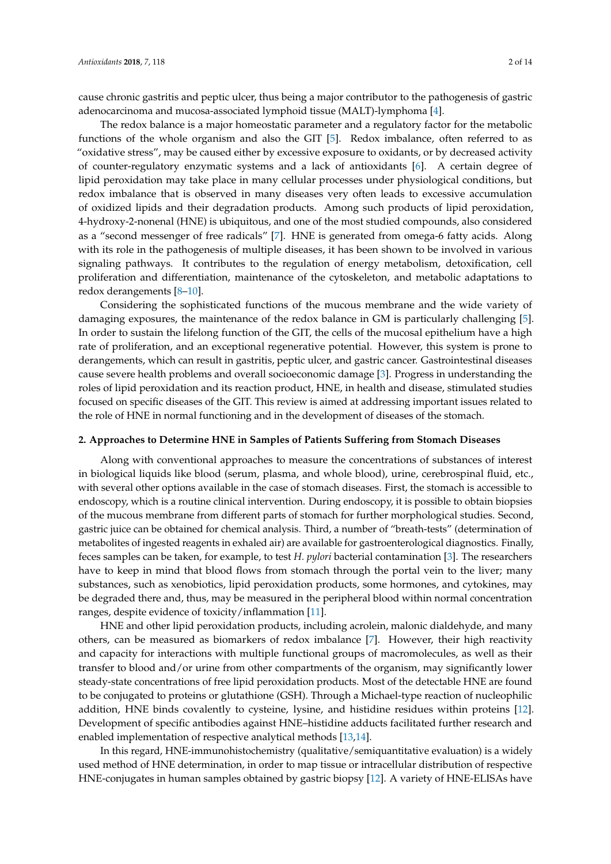cause chronic gastritis and peptic ulcer, thus being a major contributor to the pathogenesis of gastric adenocarcinoma and mucosa-associated lymphoid tissue (MALT)-lymphoma [\[4\]](#page-8-3).

The redox balance is a major homeostatic parameter and a regulatory factor for the metabolic functions of the whole organism and also the GIT [\[5\]](#page-8-4). Redox imbalance, often referred to as "oxidative stress", may be caused either by excessive exposure to oxidants, or by decreased activity of counter-regulatory enzymatic systems and a lack of antioxidants [\[6\]](#page-8-5). A certain degree of lipid peroxidation may take place in many cellular processes under physiological conditions, but redox imbalance that is observed in many diseases very often leads to excessive accumulation of oxidized lipids and their degradation products. Among such products of lipid peroxidation, 4-hydroxy-2-nonenal (HNE) is ubiquitous, and one of the most studied compounds, also considered as a "second messenger of free radicals" [\[7\]](#page-9-0). HNE is generated from omega-6 fatty acids. Along with its role in the pathogenesis of multiple diseases, it has been shown to be involved in various signaling pathways. It contributes to the regulation of energy metabolism, detoxification, cell proliferation and differentiation, maintenance of the cytoskeleton, and metabolic adaptations to redox derangements [\[8–](#page-9-1)[10\]](#page-9-2).

Considering the sophisticated functions of the mucous membrane and the wide variety of damaging exposures, the maintenance of the redox balance in GM is particularly challenging [\[5\]](#page-8-4). In order to sustain the lifelong function of the GIT, the cells of the mucosal epithelium have a high rate of proliferation, and an exceptional regenerative potential. However, this system is prone to derangements, which can result in gastritis, peptic ulcer, and gastric cancer. Gastrointestinal diseases cause severe health problems and overall socioeconomic damage [\[3\]](#page-8-2). Progress in understanding the roles of lipid peroxidation and its reaction product, HNE, in health and disease, stimulated studies focused on specific diseases of the GIT. This review is aimed at addressing important issues related to the role of HNE in normal functioning and in the development of diseases of the stomach.

#### **2. Approaches to Determine HNE in Samples of Patients Suffering from Stomach Diseases**

Along with conventional approaches to measure the concentrations of substances of interest in biological liquids like blood (serum, plasma, and whole blood), urine, cerebrospinal fluid, etc., with several other options available in the case of stomach diseases. First, the stomach is accessible to endoscopy, which is a routine clinical intervention. During endoscopy, it is possible to obtain biopsies of the mucous membrane from different parts of stomach for further morphological studies. Second, gastric juice can be obtained for chemical analysis. Third, a number of "breath-tests" (determination of metabolites of ingested reagents in exhaled air) are available for gastroenterological diagnostics. Finally, feces samples can be taken, for example, to test *H. pylori* bacterial contamination [\[3\]](#page-8-2). The researchers have to keep in mind that blood flows from stomach through the portal vein to the liver; many substances, such as xenobiotics, lipid peroxidation products, some hormones, and cytokines, may be degraded there and, thus, may be measured in the peripheral blood within normal concentration ranges, despite evidence of toxicity/inflammation [\[11\]](#page-9-3).

HNE and other lipid peroxidation products, including acrolein, malonic dialdehyde, and many others, can be measured as biomarkers of redox imbalance [\[7\]](#page-9-0). However, their high reactivity and capacity for interactions with multiple functional groups of macromolecules, as well as their transfer to blood and/or urine from other compartments of the organism, may significantly lower steady-state concentrations of free lipid peroxidation products. Most of the detectable HNE are found to be conjugated to proteins or glutathione (GSH). Through a Michael-type reaction of nucleophilic addition, HNE binds covalently to cysteine, lysine, and histidine residues within proteins [\[12\]](#page-9-4). Development of specific antibodies against HNE–histidine adducts facilitated further research and enabled implementation of respective analytical methods [\[13,](#page-9-5)[14\]](#page-9-6).

In this regard, HNE-immunohistochemistry (qualitative/semiquantitative evaluation) is a widely used method of HNE determination, in order to map tissue or intracellular distribution of respective HNE-conjugates in human samples obtained by gastric biopsy [\[12\]](#page-9-4). A variety of HNE-ELISAs have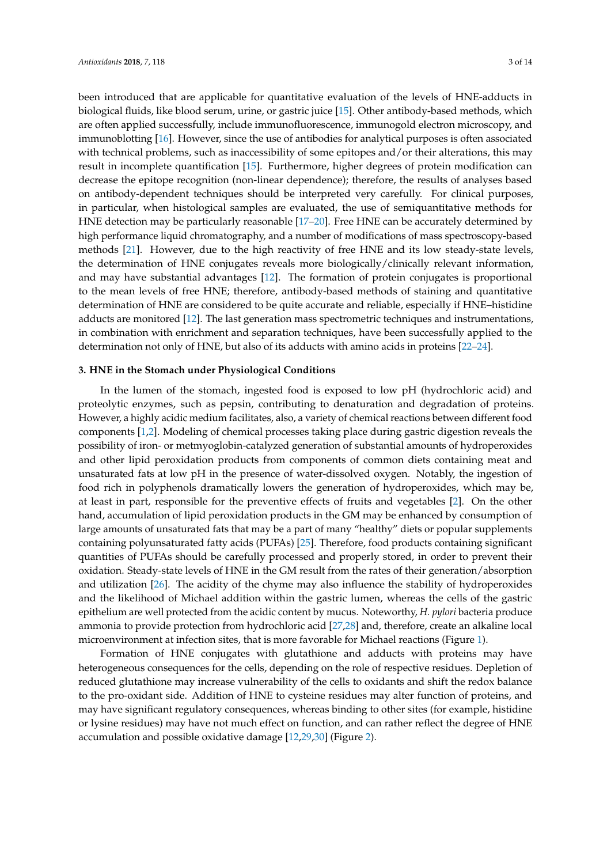been introduced that are applicable for quantitative evaluation of the levels of HNE-adducts in biological fluids, like blood serum, urine, or gastric juice [\[15\]](#page-9-7). Other antibody-based methods, which are often applied successfully, include immunofluorescence, immunogold electron microscopy, and immunoblotting [\[16\]](#page-9-8). However, since the use of antibodies for analytical purposes is often associated with technical problems, such as inaccessibility of some epitopes and/or their alterations, this may result in incomplete quantification [\[15\]](#page-9-7). Furthermore, higher degrees of protein modification can decrease the epitope recognition (non-linear dependence); therefore, the results of analyses based on antibody-dependent techniques should be interpreted very carefully. For clinical purposes, in particular, when histological samples are evaluated, the use of semiquantitative methods for HNE detection may be particularly reasonable [\[17](#page-9-9)[–20\]](#page-9-10). Free HNE can be accurately determined by high performance liquid chromatography, and a number of modifications of mass spectroscopy-based methods [\[21\]](#page-9-11). However, due to the high reactivity of free HNE and its low steady-state levels, the determination of HNE conjugates reveals more biologically/clinically relevant information, and may have substantial advantages [\[12\]](#page-9-4). The formation of protein conjugates is proportional to the mean levels of free HNE; therefore, antibody-based methods of staining and quantitative determination of HNE are considered to be quite accurate and reliable, especially if HNE–histidine adducts are monitored [\[12\]](#page-9-4). The last generation mass spectrometric techniques and instrumentations, in combination with enrichment and separation techniques, have been successfully applied to the determination not only of HNE, but also of its adducts with amino acids in proteins [\[22](#page-9-12)[–24\]](#page-9-13).

#### **3. HNE in the Stomach under Physiological Conditions**

In the lumen of the stomach, ingested food is exposed to low pH (hydrochloric acid) and proteolytic enzymes, such as pepsin, contributing to denaturation and degradation of proteins. However, a highly acidic medium facilitates, also, a variety of chemical reactions between different food components [\[1](#page-8-0)[,2\]](#page-8-1). Modeling of chemical processes taking place during gastric digestion reveals the possibility of iron- or metmyoglobin-catalyzed generation of substantial amounts of hydroperoxides and other lipid peroxidation products from components of common diets containing meat and unsaturated fats at low pH in the presence of water-dissolved oxygen. Notably, the ingestion of food rich in polyphenols dramatically lowers the generation of hydroperoxides, which may be, at least in part, responsible for the preventive effects of fruits and vegetables [\[2\]](#page-8-1). On the other hand, accumulation of lipid peroxidation products in the GM may be enhanced by consumption of large amounts of unsaturated fats that may be a part of many "healthy" diets or popular supplements containing polyunsaturated fatty acids (PUFAs) [\[25\]](#page-9-14). Therefore, food products containing significant quantities of PUFAs should be carefully processed and properly stored, in order to prevent their oxidation. Steady-state levels of HNE in the GM result from the rates of their generation/absorption and utilization [\[26\]](#page-10-0). The acidity of the chyme may also influence the stability of hydroperoxides and the likelihood of Michael addition within the gastric lumen, whereas the cells of the gastric epithelium are well protected from the acidic content by mucus. Noteworthy, *H. pylori* bacteria produce ammonia to provide protection from hydrochloric acid [\[27](#page-10-1)[,28\]](#page-10-2) and, therefore, create an alkaline local microenvironment at infection sites, that is more favorable for Michael reactions (Figure [1\)](#page-3-0).

Formation of HNE conjugates with glutathione and adducts with proteins may have heterogeneous consequences for the cells, depending on the role of respective residues. Depletion of reduced glutathione may increase vulnerability of the cells to oxidants and shift the redox balance to the pro-oxidant side. Addition of HNE to cysteine residues may alter function of proteins, and may have significant regulatory consequences, whereas binding to other sites (for example, histidine or lysine residues) may have not much effect on function, and can rather reflect the degree of HNE accumulation and possible oxidative damage [\[12,](#page-9-4)[29,](#page-10-3)[30\]](#page-10-4) (Figure [2\)](#page-5-0).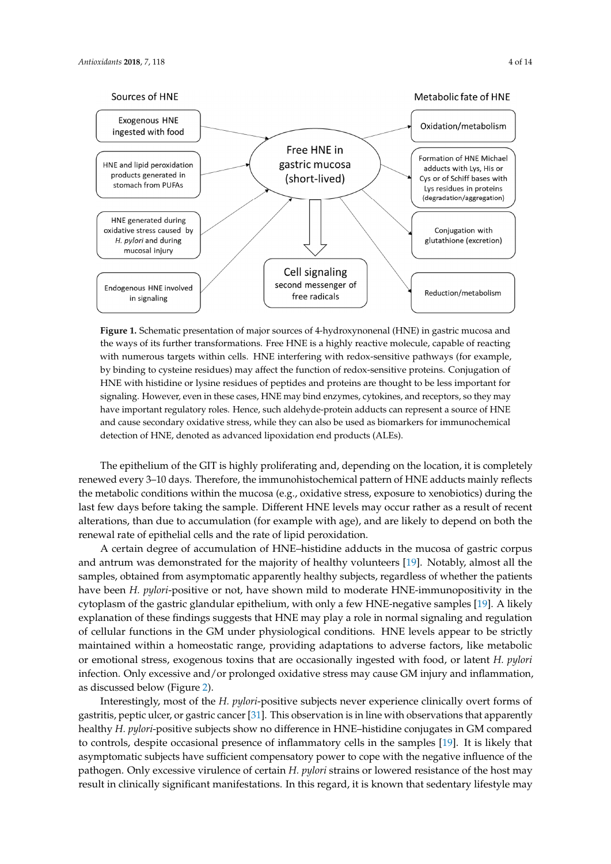<span id="page-3-0"></span>

**Figure 1.** Schematic presentation of major sources of 4-hydroxynonenal (HNE) in gastric mucosa and **Figure 1.** Schematic presentation of major sources of 4-hydroxynonenal (HNE) in gastric mucosa and the ways of its further transformations. Free HNE is a highly reactive molecule, capable of reacting the ways of its further transformations. Free HNE is a highly reactive molecule, capable of reacting with numerous targets within cells. HNE interfering with redox-sensitive pathways (for example, by binding to cysteine residues) may affect the function of redox-sensitive proteins. Conjugation of HNE with histidine or lysine residues of peptides and proteins are thought to be less important for signaling. However, even in these cases, HNE may bind enzymes, cytokines, and receptors, so they signaling. However, even in these cases, HNE may bind enzymes, cytokines, and receptors, so they may have important regulatory roles. Hence, such aldehyde-protein adducts can represent a source of HNE and cause secondary oxidative stress, while they can also be used as biomarkers for immunochemical detection of HNE, denoted as advanced lipoxidation end products (ALEs).

The epithelium of the GIT is highly proliferating and, depending on the location, it is completely renewed every 3–10 days. Therefore, the immunohistochemical pattern of HNE adducts mainly reflects the metabolic conditions within the mucosa (e.g., oxidative stress, exposure to xenobiotics) during the the metabolic conditions within the mucosa (e.g., oxidative stress, exposure to xenobiotics) during the are measure concluded which the matesar (e.g.) shadant concess, e.g. same to measurely dailing the last few days before taking the sample. Different HNE levels may occur rather as a result of recent alterations, than due to accumulation (for example with age), and are likely to depend on both the and these findings such that the content matter (for example with age), and the mass to depend on evaluate of epithelial cells and the rate of lipid peroxidation.

Functions interests and the conditions of the procedurities. and antrum was demonstrated for the majority of healthy volunteers [\[19\]](#page-9-15). Notably, almost all the stress, extreme with four demonstration for the majority of healthy vortations  $\{x\}$ , reducity, almost an the<br>samples, obtained from asymptomatic apparently healthy subjects, regardless of whether the patients examples, or annex from asymptomatic uppercurs, healing *stagens*, regardings or micater are partents have been *H. pylori*-positive or not, have shown mild to moderate HNE-immunopositivity in the cytoplasm of the gastric glandular epithelium, with only a few HNE-negative samples [\[19\]](#page-9-15). A likely explanation of these findings suggests that HNE may play a role in normal signaling and regulation explanation of these findings suggests that HNE may play a role in normal signaling and regulation of cellular functions in the GM under physiological conditions. HNE levels appear to be strictly approximate in the contract projects conditions in H<sub>NE</sub>–histidine conduct in GM and the conduct of the conduction maintained within a homeostatic range, providing adaptations to adverse factors, like metabolic comparison to compare the samples of intervence of intervence of intervence intervence of the samples of the samples of emotional stress, exogenous toxins that are occasionally ingested with food, or latent *H. pylori* that asymptomatic subjects have sufficient compensatory power to cope with the negative influence infection. Only excessive and/or prolonged oxidative stress may cause GM injury and inflammation, including *(Figure*) as discussed below (Figure [2\)](#page-5-0).

Interestingly, most of the *H. pylori*-positive subjects never experience clinically overt forms of mattedingly, med of the *In-pyon-positive* subjects never experience emitting overvioring or gastritis, peptic ulcer, or gastric cancer [\[31\]](#page-10-5). This observation is in line with observations that apparently subsequent parasympathetic impairment) [32]. Genetic defects, psychoemotional stress, and a healthy *H. pylori*-positive subjects show no difference in HNE–histidine conjugates in GM compared number of other factors and the automomy all that may lead to controls, despite occasional presence of inflammatory cells in the samples [\[19\]](#page-9-15). It is likely that asymptomatic subjects have sufficient compensatory power to cope with the negative influence of the asymptomatic subjects have sufficient compensatory power to cope with the negative influence of the as in pathogen. Only excessive virulence of certain *H. pylori* strains or lowered resistance of the host may pathogen. Only excessive virulence of certain *H. pylori* strains or lowered resistance of the host may relationships of heart rate variables of the mass  $\mu$  alterations with endothelial dysful as well as well as well as well as well as well as well as well as well as well as well as well as well as well as well as well as result in clinically significant manifestations. In this regard, it is known that sedentary lifestyle may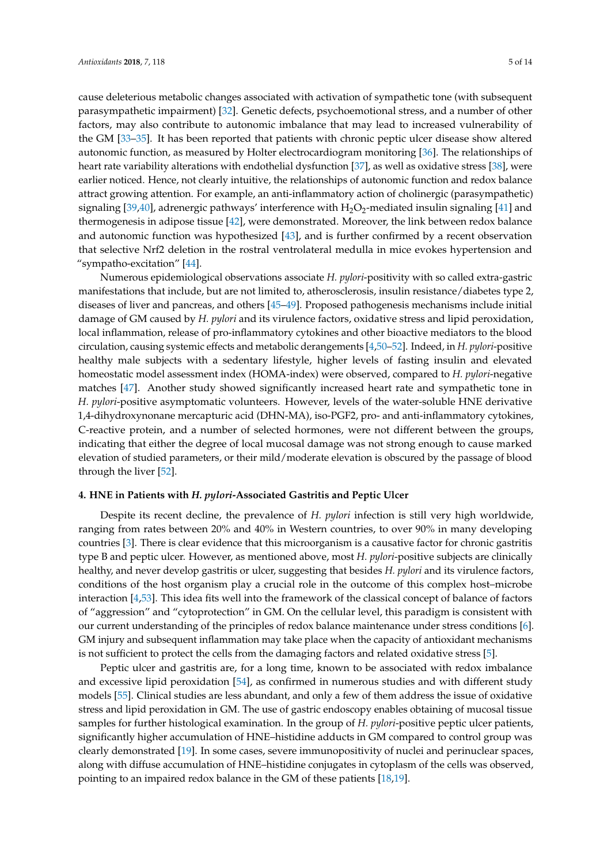"sympatho-excitation" [\[44\]](#page-10-17).

cause deleterious metabolic changes associated with activation of sympathetic tone (with subsequent parasympathetic impairment) [\[32\]](#page-10-6). Genetic defects, psychoemotional stress, and a number of other factors, may also contribute to autonomic imbalance that may lead to increased vulnerability of the GM [\[33–](#page-10-7)[35\]](#page-10-8). It has been reported that patients with chronic peptic ulcer disease show altered autonomic function, as measured by Holter electrocardiogram monitoring [\[36\]](#page-10-9). The relationships of heart rate variability alterations with endothelial dysfunction [\[37\]](#page-10-10), as well as oxidative stress [\[38\]](#page-10-11), were earlier noticed. Hence, not clearly intuitive, the relationships of autonomic function and redox balance attract growing attention. For example, an anti-inflammatory action of cholinergic (parasympathetic) signaling [\[39,](#page-10-12)[40\]](#page-10-13), adrenergic pathways' interference with  $H_2O_2$ -mediated insulin signaling [\[41\]](#page-10-14) and thermogenesis in adipose tissue [\[42\]](#page-10-15), were demonstrated. Moreover, the link between redox balance and autonomic function was hypothesized [\[43\]](#page-10-16), and is further confirmed by a recent observation that selective Nrf2 deletion in the rostral ventrolateral medulla in mice evokes hypertension and

Numerous epidemiological observations associate *H. pylori*-positivity with so called extra-gastric manifestations that include, but are not limited to, atherosclerosis, insulin resistance/diabetes type 2, diseases of liver and pancreas, and others [\[45–](#page-10-18)[49\]](#page-11-0). Proposed pathogenesis mechanisms include initial damage of GM caused by *H. pylori* and its virulence factors, oxidative stress and lipid peroxidation, local inflammation, release of pro-inflammatory cytokines and other bioactive mediators to the blood circulation, causing systemic effects and metabolic derangements [\[4,](#page-8-3)[50](#page-11-1)[–52\]](#page-11-2). Indeed, in *H. pylori*-positive healthy male subjects with a sedentary lifestyle, higher levels of fasting insulin and elevated homeostatic model assessment index (HOMA-index) were observed, compared to *H. pylori*-negative matches [\[47\]](#page-11-3). Another study showed significantly increased heart rate and sympathetic tone in *H. pylori*-positive asymptomatic volunteers. However, levels of the water-soluble HNE derivative 1,4-dihydroxynonane mercapturic acid (DHN-MA), iso-PGF2, pro- and anti-inflammatory cytokines, C-reactive protein, and a number of selected hormones, were not different between the groups, indicating that either the degree of local mucosal damage was not strong enough to cause marked elevation of studied parameters, or their mild/moderate elevation is obscured by the passage of blood through the liver [\[52\]](#page-11-2).

#### **4. HNE in Patients with** *H. pylori***-Associated Gastritis and Peptic Ulcer**

Despite its recent decline, the prevalence of *H. pylori* infection is still very high worldwide, ranging from rates between 20% and 40% in Western countries, to over 90% in many developing countries [\[3\]](#page-8-2). There is clear evidence that this microorganism is a causative factor for chronic gastritis type B and peptic ulcer. However, as mentioned above, most *H. pylori*-positive subjects are clinically healthy, and never develop gastritis or ulcer, suggesting that besides *H. pylori* and its virulence factors, conditions of the host organism play a crucial role in the outcome of this complex host–microbe interaction [\[4](#page-8-3)[,53\]](#page-11-4). This idea fits well into the framework of the classical concept of balance of factors of "aggression" and "cytoprotection" in GM. On the cellular level, this paradigm is consistent with our current understanding of the principles of redox balance maintenance under stress conditions [\[6\]](#page-8-5). GM injury and subsequent inflammation may take place when the capacity of antioxidant mechanisms is not sufficient to protect the cells from the damaging factors and related oxidative stress [\[5\]](#page-8-4).

Peptic ulcer and gastritis are, for a long time, known to be associated with redox imbalance and excessive lipid peroxidation [\[54\]](#page-11-5), as confirmed in numerous studies and with different study models [\[55\]](#page-11-6). Clinical studies are less abundant, and only a few of them address the issue of oxidative stress and lipid peroxidation in GM. The use of gastric endoscopy enables obtaining of mucosal tissue samples for further histological examination. In the group of *H. pylori*-positive peptic ulcer patients, significantly higher accumulation of HNE–histidine adducts in GM compared to control group was clearly demonstrated [\[19\]](#page-9-15). In some cases, severe immunopositivity of nuclei and perinuclear spaces, along with diffuse accumulation of HNE–histidine conjugates in cytoplasm of the cells was observed, pointing to an impaired redox balance in the GM of these patients [\[18](#page-9-16)[,19\]](#page-9-15).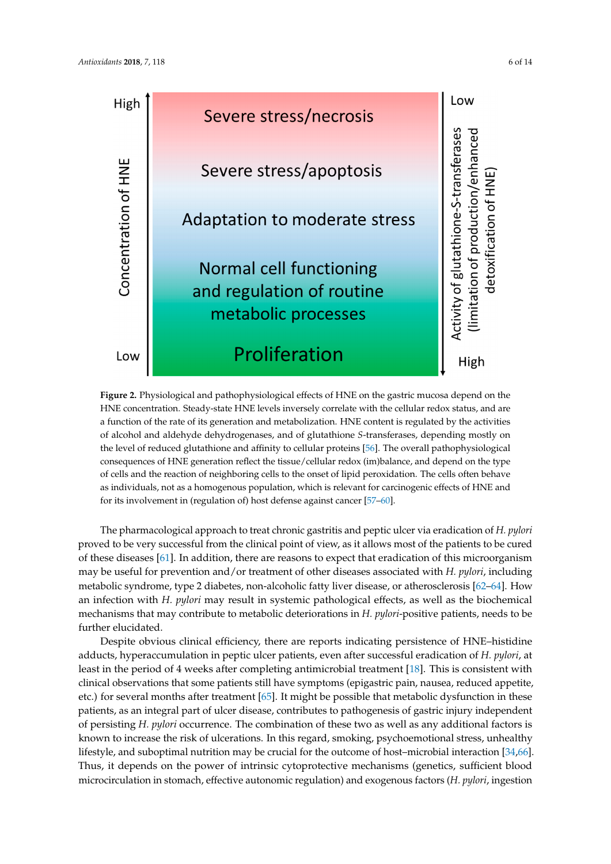<span id="page-5-0"></span>

**Figure 2.** Physiological and pathophysiological effects of HNE on the gastric mucosa depend on the **Figure 2.** Physiological and pathophysiological effects of HNE on the gastric mucosa depend on the HNE concentration. Steady-state HNE levels inversely correlate with the cellular redox status, and HNE concentration. Steady-state HNE levels inversely correlate with the cellular redox status, and are a function of the rate of its generation and metabolization. HNE content is regulated by the activities of alcohol and aldehyde dehydrogenases, and of glutathione *S*-transferases, depending mostly on the level of reduced glutathione and affinity to [cel](#page-11-7)lular proteins [56]. The overall pathophysiological consequences of HNE generation reflect the tissue/cellular redox (im)balance, and depend on the type consequences of HNE generation reflect the tissue/cellular redox (im)balance, and depend on the type<br>of cells and the reaction of neighboring cells to the onset of lipid peroxidation. The cells often behave as individuals, not as a homogenous population, which is relevant for carcinogenic effects of HNE and<br>for its involvement in (regulation of) host defense against cancer [\[57–](#page-11-8)[60\]](#page-11-9). for its involvement in (regulation of) host defense against cancer  $[57–60]$ .

The pharmacological approach to treat chronic gastritis and peptic ulcer via eradication of The pharmacological approach to treat chronic gastritis and peptic ulcer via eradication of *H. pylori* proved to be very successful from the clinical point of view, as it allows most of the patients to be cured of these diseases [\[61\]](#page-11-10). In addition, there are reasons to expect that eradication of this microorganism may be useful for prevention and/or treatment of other diseases associated with *H. pylori*, including metabolic syndrome, type 2 diabetes, non-alcoholic fatty liver disease, or atherosclerosis [\[62–](#page-11-11)[64\]](#page-12-0). How an infection with *H. pylori* may result in systemic pathological effects, as well as the biochemical mechanisms that may contribute to metabolic deteriorations in *H. pylori-positive patients, needs to be* further elucidated.

Despite obvious clinical efficiency, there are reports indicating persistence of HNE–histidine Despite obvious clinical efficiency, there are reports indicating persistence of HNE–histidine adducts, hyperaccumulation in peptic ulcer patients, even after successful eradication of *H. pylori*, adducts, hyperaccumulation in peptic ulcer patients, even after successful eradication of *H. pylori*, at least in the period of 4 weeks after completing antimicrobial treatment [\[18\]](#page-9-16). This is consistent with clinical observations that some patients still have symptoms (epigastric pain, nausea, reduced clinical observations that some patients still have symptoms (epigastric pain, nausea, reduced appetite, etc.) for several months after treatment [\[65\]](#page-12-1). It might be possible that metabolic dysfunction in these patients, as an integral part of ulcer disease, contributes to pathogenesis of gastric injury independent of persisting *H. pylori* occurrence. The combination of these two as well as any additional factors is known to increase the risk of ulcerations. In this regard, smoking, psychoemotional stress, unhealthy lifestyle, and suboptimal nutrition may be crucial for the outcome of host–microbial interaction [\[34](#page-10-19)[,66\]](#page-12-2). Thus, it depends on the power of intrinsic cytoprotective mechanisms (genetics, sufficient blood microcirculation in stomach, effective autonomic regulation) and exogenous factors (*H. pylori*, ingestion

(*H. pylori*, ingestion of toxins, and products of PUFA peroxidation), and may vary from long-term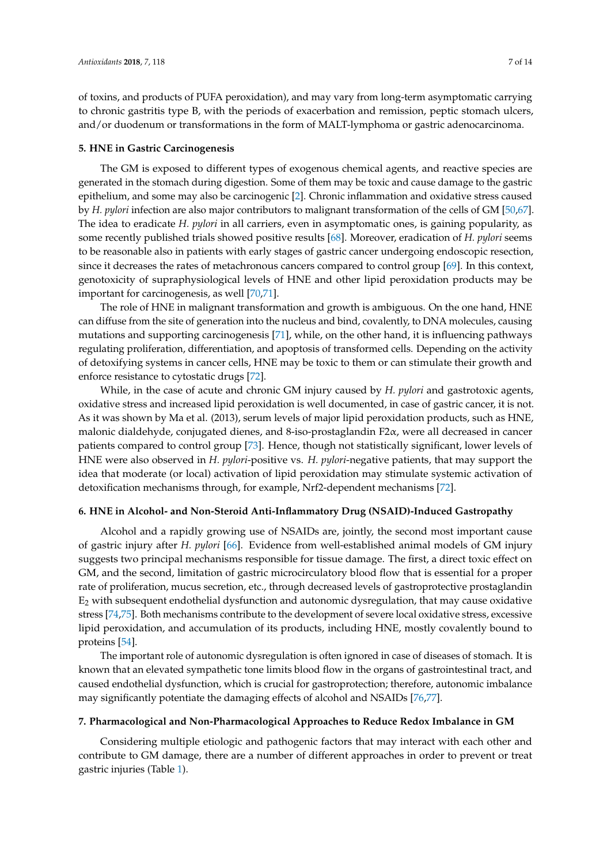of toxins, and products of PUFA peroxidation), and may vary from long-term asymptomatic carrying to chronic gastritis type B, with the periods of exacerbation and remission, peptic stomach ulcers, and/or duodenum or transformations in the form of MALT-lymphoma or gastric adenocarcinoma.

#### **5. HNE in Gastric Carcinogenesis**

The GM is exposed to different types of exogenous chemical agents, and reactive species are generated in the stomach during digestion. Some of them may be toxic and cause damage to the gastric epithelium, and some may also be carcinogenic [\[2\]](#page-8-1). Chronic inflammation and oxidative stress caused by *H. pylori* infection are also major contributors to malignant transformation of the cells of GM [\[50](#page-11-1)[,67\]](#page-12-3). The idea to eradicate *H. pylori* in all carriers, even in asymptomatic ones, is gaining popularity, as some recently published trials showed positive results [\[68\]](#page-12-4). Moreover, eradication of *H. pylori* seems to be reasonable also in patients with early stages of gastric cancer undergoing endoscopic resection, since it decreases the rates of metachronous cancers compared to control group [\[69\]](#page-12-5). In this context, genotoxicity of supraphysiological levels of HNE and other lipid peroxidation products may be important for carcinogenesis, as well [\[70](#page-12-6)[,71\]](#page-12-7).

The role of HNE in malignant transformation and growth is ambiguous. On the one hand, HNE can diffuse from the site of generation into the nucleus and bind, covalently, to DNA molecules, causing mutations and supporting carcinogenesis [\[71\]](#page-12-7), while, on the other hand, it is influencing pathways regulating proliferation, differentiation, and apoptosis of transformed cells. Depending on the activity of detoxifying systems in cancer cells, HNE may be toxic to them or can stimulate their growth and enforce resistance to cytostatic drugs [\[72\]](#page-12-8).

While, in the case of acute and chronic GM injury caused by *H. pylori* and gastrotoxic agents, oxidative stress and increased lipid peroxidation is well documented, in case of gastric cancer, it is not. As it was shown by Ma et al. (2013), serum levels of major lipid peroxidation products, such as HNE, malonic dialdehyde, conjugated dienes, and 8-iso-prostaglandin F2α, were all decreased in cancer patients compared to control group [\[73\]](#page-12-9). Hence, though not statistically significant, lower levels of HNE were also observed in *H. pylori*-positive vs. *H. pylori*-negative patients, that may support the idea that moderate (or local) activation of lipid peroxidation may stimulate systemic activation of detoxification mechanisms through, for example, Nrf2-dependent mechanisms [\[72\]](#page-12-8).

## **6. HNE in Alcohol- and Non-Steroid Anti-Inflammatory Drug (NSAID)-Induced Gastropathy**

Alcohol and a rapidly growing use of NSAIDs are, jointly, the second most important cause of gastric injury after *H. pylori* [\[66\]](#page-12-2). Evidence from well-established animal models of GM injury suggests two principal mechanisms responsible for tissue damage. The first, a direct toxic effect on GM, and the second, limitation of gastric microcirculatory blood flow that is essential for a proper rate of proliferation, mucus secretion, etc., through decreased levels of gastroprotective prostaglandin  $E<sub>2</sub>$  with subsequent endothelial dysfunction and autonomic dysregulation, that may cause oxidative stress [\[74,](#page-12-10)[75\]](#page-12-11). Both mechanisms contribute to the development of severe local oxidative stress, excessive lipid peroxidation, and accumulation of its products, including HNE, mostly covalently bound to proteins [\[54\]](#page-11-5).

The important role of autonomic dysregulation is often ignored in case of diseases of stomach. It is known that an elevated sympathetic tone limits blood flow in the organs of gastrointestinal tract, and caused endothelial dysfunction, which is crucial for gastroprotection; therefore, autonomic imbalance may significantly potentiate the damaging effects of alcohol and NSAIDs [\[76,](#page-12-12)[77\]](#page-12-13).

#### **7. Pharmacological and Non-Pharmacological Approaches to Reduce Redox Imbalance in GM**

Considering multiple etiologic and pathogenic factors that may interact with each other and contribute to GM damage, there are a number of different approaches in order to prevent or treat gastric injuries (Table [1\)](#page-7-0).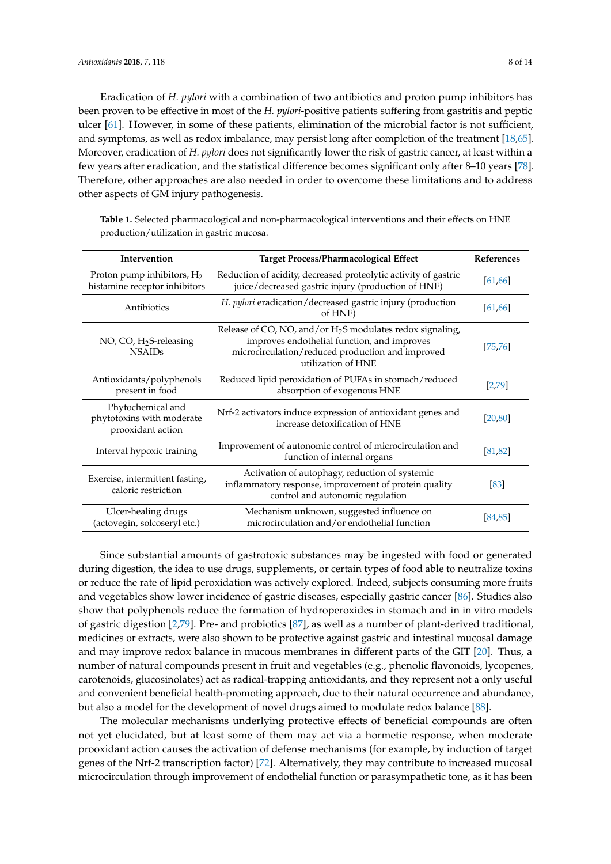Eradication of *H. pylori* with a combination of two antibiotics and proton pump inhibitors has been proven to be effective in most of the *H. pylori*-positive patients suffering from gastritis and peptic ulcer [\[61\]](#page-11-10). However, in some of these patients, elimination of the microbial factor is not sufficient, and symptoms, as well as redox imbalance, may persist long after completion of the treatment [\[18](#page-9-16)[,65\]](#page-12-1). Moreover, eradication of *H. pylori* does not significantly lower the risk of gastric cancer, at least within a few years after eradication, and the statistical difference becomes significant only after 8–10 years [\[78\]](#page-12-14). Therefore, other approaches are also needed in order to overcome these limitations and to address other aspects of GM injury pathogenesis.

<span id="page-7-0"></span>**Table 1.** Selected pharmacological and non-pharmacological interventions and their effects on HNE production/utilization in gastric mucosa.

| Intervention                                                        | <b>Target Process/Pharmacological Effect</b>                                                                                                                                         | References |
|---------------------------------------------------------------------|--------------------------------------------------------------------------------------------------------------------------------------------------------------------------------------|------------|
| Proton pump inhibitors, $H_2$<br>histamine receptor inhibitors      | Reduction of acidity, decreased proteolytic activity of gastric<br>juice/decreased gastric injury (production of HNE)                                                                | [61, 66]   |
| Antibiotics                                                         | H. pylori eradication/decreased gastric injury (production<br>of HNE)                                                                                                                | [61, 66]   |
| NO, CO, $H_2S$ -releasing<br><b>NSAIDs</b>                          | Release of CO, NO, and/or $H_2S$ modulates redox signaling,<br>improves endothelial function, and improves<br>microcirculation/reduced production and improved<br>utilization of HNE | [75, 76]   |
| Antioxidants/polyphenols<br>present in food                         | Reduced lipid peroxidation of PUFAs in stomach/reduced<br>absorption of exogenous HNE                                                                                                | [2,79]     |
| Phytochemical and<br>phytotoxins with moderate<br>prooxidant action | Nrf-2 activators induce expression of antioxidant genes and<br>increase detoxification of HNE                                                                                        | [20, 80]   |
| Interval hypoxic training                                           | Improvement of autonomic control of microcirculation and<br>function of internal organs                                                                                              | [81, 82]   |
| Exercise, intermittent fasting,<br>caloric restriction              | Activation of autophagy, reduction of systemic<br>inflammatory response, improvement of protein quality<br>control and autonomic regulation                                          | [83]       |
| Ulcer-healing drugs<br>(actovegin, solcoseryl etc.)                 | Mechanism unknown, suggested influence on<br>microcirculation and/or endothelial function                                                                                            | [84,85]    |

Since substantial amounts of gastrotoxic substances may be ingested with food or generated during digestion, the idea to use drugs, supplements, or certain types of food able to neutralize toxins or reduce the rate of lipid peroxidation was actively explored. Indeed, subjects consuming more fruits and vegetables show lower incidence of gastric diseases, especially gastric cancer [\[86\]](#page-13-2). Studies also show that polyphenols reduce the formation of hydroperoxides in stomach and in in vitro models of gastric digestion [\[2](#page-8-1)[,79\]](#page-12-15). Pre- and probiotics [\[87\]](#page-13-3), as well as a number of plant-derived traditional, medicines or extracts, were also shown to be protective against gastric and intestinal mucosal damage and may improve redox balance in mucous membranes in different parts of the GIT [\[20\]](#page-9-10). Thus, a number of natural compounds present in fruit and vegetables (e.g., phenolic flavonoids, lycopenes, carotenoids, glucosinolates) act as radical-trapping antioxidants, and they represent not a only useful and convenient beneficial health-promoting approach, due to their natural occurrence and abundance, but also a model for the development of novel drugs aimed to modulate redox balance [\[88\]](#page-13-4).

The molecular mechanisms underlying protective effects of beneficial compounds are often not yet elucidated, but at least some of them may act via a hormetic response, when moderate prooxidant action causes the activation of defense mechanisms (for example, by induction of target genes of the Nrf-2 transcription factor) [\[72\]](#page-12-8). Alternatively, they may contribute to increased mucosal microcirculation through improvement of endothelial function or parasympathetic tone, as it has been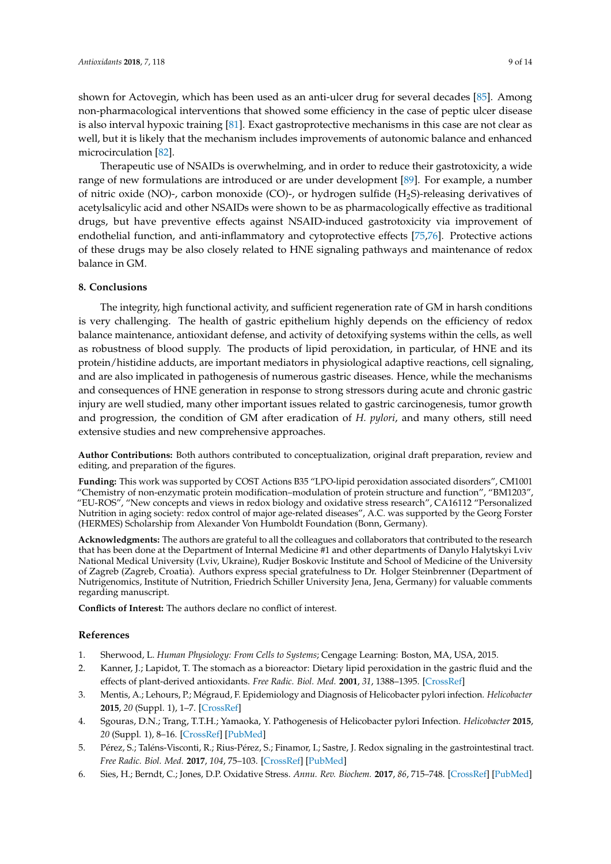shown for Actovegin, which has been used as an anti-ulcer drug for several decades [\[85\]](#page-13-1). Among non-pharmacological interventions that showed some efficiency in the case of peptic ulcer disease is also interval hypoxic training [\[81\]](#page-12-17). Exact gastroprotective mechanisms in this case are not clear as well, but it is likely that the mechanism includes improvements of autonomic balance and enhanced microcirculation [\[82\]](#page-12-18).

Therapeutic use of NSAIDs is overwhelming, and in order to reduce their gastrotoxicity, a wide range of new formulations are introduced or are under development [\[89\]](#page-13-5). For example, a number of nitric oxide (NO)-, carbon monoxide (CO)-, or hydrogen sulfide (H<sub>2</sub>S)-releasing derivatives of acetylsalicylic acid and other NSAIDs were shown to be as pharmacologically effective as traditional drugs, but have preventive effects against NSAID-induced gastrotoxicity via improvement of endothelial function, and anti-inflammatory and cytoprotective effects [\[75](#page-12-11)[,76\]](#page-12-12). Protective actions of these drugs may be also closely related to HNE signaling pathways and maintenance of redox balance in GM.

## **8. Conclusions**

The integrity, high functional activity, and sufficient regeneration rate of GM in harsh conditions is very challenging. The health of gastric epithelium highly depends on the efficiency of redox balance maintenance, antioxidant defense, and activity of detoxifying systems within the cells, as well as robustness of blood supply. The products of lipid peroxidation, in particular, of HNE and its protein/histidine adducts, are important mediators in physiological adaptive reactions, cell signaling, and are also implicated in pathogenesis of numerous gastric diseases. Hence, while the mechanisms and consequences of HNE generation in response to strong stressors during acute and chronic gastric injury are well studied, many other important issues related to gastric carcinogenesis, tumor growth and progression, the condition of GM after eradication of *H. pylori*, and many others, still need extensive studies and new comprehensive approaches.

**Author Contributions:** Both authors contributed to conceptualization, original draft preparation, review and editing, and preparation of the figures.

**Funding:** This work was supported by COST Actions B35 "LPO-lipid peroxidation associated disorders", CM1001 "Chemistry of non-enzymatic protein modification–modulation of protein structure and function", "BM1203", "EU-ROS", "New concepts and views in redox biology and oxidative stress research", CA16112 "Personalized Nutrition in aging society: redox control of major age-related diseases", A.C. was supported by the Georg Forster (HERMES) Scholarship from Alexander Von Humboldt Foundation (Bonn, Germany).

**Acknowledgments:** The authors are grateful to all the colleagues and collaborators that contributed to the research that has been done at the Department of Internal Medicine #1 and other departments of Danylo Halytskyi Lviv National Medical University (Lviv, Ukraine), Rudjer Boskovic Institute and School of Medicine of the University of Zagreb (Zagreb, Croatia). Authors express special gratefulness to Dr. Holger Steinbrenner (Department of Nutrigenomics, Institute of Nutrition, Friedrich Schiller University Jena, Jena, Germany) for valuable comments regarding manuscript.

**Conflicts of Interest:** The authors declare no conflict of interest.

## **References**

- <span id="page-8-0"></span>1. Sherwood, L. *Human Physiology: From Cells to Systems*; Cengage Learning: Boston, MA, USA, 2015.
- <span id="page-8-1"></span>2. Kanner, J.; Lapidot, T. The stomach as a bioreactor: Dietary lipid peroxidation in the gastric fluid and the effects of plant-derived antioxidants. *Free Radic. Biol. Med.* **2001**, *31*, 1388–1395. [\[CrossRef\]](http://dx.doi.org/10.1016/S0891-5849(01)00718-3)
- <span id="page-8-2"></span>3. Mentis, A.; Lehours, P.; Mégraud, F. Epidemiology and Diagnosis of Helicobacter pylori infection. *Helicobacter* **2015**, *20* (Suppl. 1), 1–7. [\[CrossRef\]](http://dx.doi.org/10.1111/hel.12250)
- <span id="page-8-3"></span>4. Sgouras, D.N.; Trang, T.T.H.; Yamaoka, Y. Pathogenesis of Helicobacter pylori Infection. *Helicobacter* **2015**, *20* (Suppl. 1), 8–16. [\[CrossRef\]](http://dx.doi.org/10.1111/hel.12251) [\[PubMed\]](http://www.ncbi.nlm.nih.gov/pubmed/26372819)
- <span id="page-8-4"></span>5. Pérez, S.; Taléns-Visconti, R.; Rius-Pérez, S.; Finamor, I.; Sastre, J. Redox signaling in the gastrointestinal tract. *Free Radic. Biol. Med.* **2017**, *104*, 75–103. [\[CrossRef\]](http://dx.doi.org/10.1016/j.freeradbiomed.2016.12.048) [\[PubMed\]](http://www.ncbi.nlm.nih.gov/pubmed/28062361)
- <span id="page-8-5"></span>6. Sies, H.; Berndt, C.; Jones, D.P. Oxidative Stress. *Annu. Rev. Biochem.* **2017**, *86*, 715–748. [\[CrossRef\]](http://dx.doi.org/10.1146/annurev-biochem-061516-045037) [\[PubMed\]](http://www.ncbi.nlm.nih.gov/pubmed/28441057)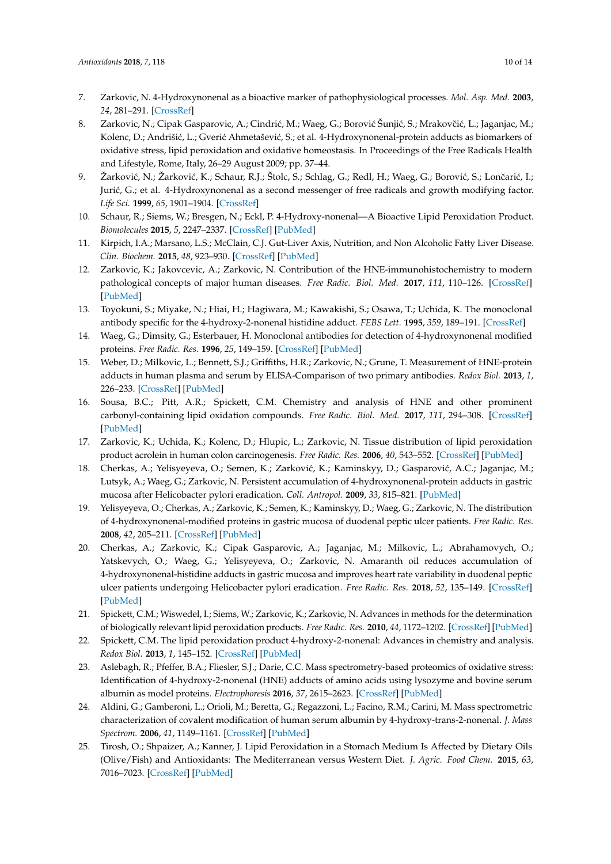- <span id="page-9-0"></span>7. Zarkovic, N. 4-Hydroxynonenal as a bioactive marker of pathophysiological processes. *Mol. Asp. Med.* **2003**, *24*, 281–291. [\[CrossRef\]](http://dx.doi.org/10.1016/S0098-2997(03)00023-2)
- <span id="page-9-1"></span>8. Zarkovic, N.; Cipak Gasparovic, A.; Cindrić, M.; Waeg, G.; Borović Šunjić, S.; Mrakovčić, L.; Jaganjac, M.; Kolenc, D.; Andrišić, L.; Gverić Ahmetašević, S.; et al. 4-Hydroxynonenal-protein adducts as biomarkers of oxidative stress, lipid peroxidation and oxidative homeostasis. In Proceedings of the Free Radicals Health and Lifestyle, Rome, Italy, 26–29 August 2009; pp. 37–44.
- 9. Žarković, N.; Žarković, K.; Schaur, R.J.; Štolc, S.; Schlag, G.; Redl, H.; Waeg, G.; Borović, S.; Lončarić, I.; Jurić, G.; et al. 4-Hydroxynonenal as a second messenger of free radicals and growth modifying factor. *Life Sci.* **1999**, *65*, 1901–1904. [\[CrossRef\]](http://dx.doi.org/10.1016/S0024-3205(99)00444-0)
- <span id="page-9-2"></span>10. Schaur, R.; Siems, W.; Bresgen, N.; Eckl, P. 4-Hydroxy-nonenal—A Bioactive Lipid Peroxidation Product. *Biomolecules* **2015**, *5*, 2247–2337. [\[CrossRef\]](http://dx.doi.org/10.3390/biom5042247) [\[PubMed\]](http://www.ncbi.nlm.nih.gov/pubmed/26437435)
- <span id="page-9-3"></span>11. Kirpich, I.A.; Marsano, L.S.; McClain, C.J. Gut-Liver Axis, Nutrition, and Non Alcoholic Fatty Liver Disease. *Clin. Biochem.* **2015**, *48*, 923–930. [\[CrossRef\]](http://dx.doi.org/10.1016/j.clinbiochem.2015.06.023) [\[PubMed\]](http://www.ncbi.nlm.nih.gov/pubmed/26151226)
- <span id="page-9-4"></span>12. Zarkovic, K.; Jakovcevic, A.; Zarkovic, N. Contribution of the HNE-immunohistochemistry to modern pathological concepts of major human diseases. *Free Radic. Biol. Med.* **2017**, *111*, 110–126. [\[CrossRef\]](http://dx.doi.org/10.1016/j.freeradbiomed.2016.12.009) [\[PubMed\]](http://www.ncbi.nlm.nih.gov/pubmed/27993730)
- <span id="page-9-5"></span>13. Toyokuni, S.; Miyake, N.; Hiai, H.; Hagiwara, M.; Kawakishi, S.; Osawa, T.; Uchida, K. The monoclonal antibody specific for the 4-hydroxy-2-nonenal histidine adduct. *FEBS Lett.* **1995**, *359*, 189–191. [\[CrossRef\]](http://dx.doi.org/10.1016/0014-5793(95)00033-6)
- <span id="page-9-6"></span>14. Waeg, G.; Dimsity, G.; Esterbauer, H. Monoclonal antibodies for detection of 4-hydroxynonenal modified proteins. *Free Radic. Res.* **1996**, *25*, 149–159. [\[CrossRef\]](http://dx.doi.org/10.3109/10715769609149920) [\[PubMed\]](http://www.ncbi.nlm.nih.gov/pubmed/8885333)
- <span id="page-9-7"></span>15. Weber, D.; Milkovic, L.; Bennett, S.J.; Griffiths, H.R.; Zarkovic, N.; Grune, T. Measurement of HNE-protein adducts in human plasma and serum by ELISA-Comparison of two primary antibodies. *Redox Biol.* **2013**, *1*, 226–233. [\[CrossRef\]](http://dx.doi.org/10.1016/j.redox.2013.01.012) [\[PubMed\]](http://www.ncbi.nlm.nih.gov/pubmed/24024156)
- <span id="page-9-8"></span>16. Sousa, B.C.; Pitt, A.R.; Spickett, C.M. Chemistry and analysis of HNE and other prominent carbonyl-containing lipid oxidation compounds. *Free Radic. Biol. Med.* **2017**, *111*, 294–308. [\[CrossRef\]](http://dx.doi.org/10.1016/j.freeradbiomed.2017.02.003) [\[PubMed\]](http://www.ncbi.nlm.nih.gov/pubmed/28192230)
- <span id="page-9-9"></span>17. Zarkovic, K.; Uchida, K.; Kolenc, D.; Hlupic, L.; Zarkovic, N. Tissue distribution of lipid peroxidation product acrolein in human colon carcinogenesis. *Free Radic. Res.* **2006**, *40*, 543–552. [\[CrossRef\]](http://dx.doi.org/10.1080/10715760500370048) [\[PubMed\]](http://www.ncbi.nlm.nih.gov/pubmed/16753831)
- <span id="page-9-16"></span>18. Cherkas, A.; Yelisyeyeva, O.; Semen, K.; Zarković, K.; Kaminskyy, D.; Gasparović, A.C.; Jaganjac, M.; Lutsyk, A.; Waeg, G.; Zarkovic, N. Persistent accumulation of 4-hydroxynonenal-protein adducts in gastric mucosa after Helicobacter pylori eradication. *Coll. Antropol.* **2009**, *33*, 815–821. [\[PubMed\]](http://www.ncbi.nlm.nih.gov/pubmed/19860109)
- <span id="page-9-15"></span>19. Yelisyeyeva, O.; Cherkas, A.; Zarkovic, K.; Semen, K.; Kaminskyy, D.; Waeg, G.; Zarkovic, N. The distribution of 4-hydroxynonenal-modified proteins in gastric mucosa of duodenal peptic ulcer patients. *Free Radic. Res.* **2008**, *42*, 205–211. [\[CrossRef\]](http://dx.doi.org/10.1080/10715760801975743) [\[PubMed\]](http://www.ncbi.nlm.nih.gov/pubmed/18344114)
- <span id="page-9-10"></span>20. Cherkas, A.; Zarkovic, K.; Cipak Gasparovic, A.; Jaganjac, M.; Milkovic, L.; Abrahamovych, O.; Yatskevych, O.; Waeg, G.; Yelisyeyeva, O.; Zarkovic, N. Amaranth oil reduces accumulation of 4-hydroxynonenal-histidine adducts in gastric mucosa and improves heart rate variability in duodenal peptic ulcer patients undergoing Helicobacter pylori eradication. *Free Radic. Res.* **2018**, *52*, 135–149. [\[CrossRef\]](http://dx.doi.org/10.1080/10715762.2017.1418981) [\[PubMed\]](http://www.ncbi.nlm.nih.gov/pubmed/29251014)
- <span id="page-9-11"></span>21. Spickett, C.M.; Wiswedel, I.; Siems, W.; Zarkovic, K.; Zarkovic, N. Advances in methods for the determination of biologically relevant lipid peroxidation products. *Free Radic. Res.* **2010**, *44*, 1172–1202. [\[CrossRef\]](http://dx.doi.org/10.3109/10715762.2010.498476) [\[PubMed\]](http://www.ncbi.nlm.nih.gov/pubmed/20836661)
- <span id="page-9-12"></span>22. Spickett, C.M. The lipid peroxidation product 4-hydroxy-2-nonenal: Advances in chemistry and analysis. *Redox Biol.* **2013**, *1*, 145–152. [\[CrossRef\]](http://dx.doi.org/10.1016/j.redox.2013.01.007) [\[PubMed\]](http://www.ncbi.nlm.nih.gov/pubmed/24024147)
- 23. Aslebagh, R.; Pfeffer, B.A.; Fliesler, S.J.; Darie, C.C. Mass spectrometry-based proteomics of oxidative stress: Identification of 4-hydroxy-2-nonenal (HNE) adducts of amino acids using lysozyme and bovine serum albumin as model proteins. *Electrophoresis* **2016**, *37*, 2615–2623. [\[CrossRef\]](http://dx.doi.org/10.1002/elps.201600134) [\[PubMed\]](http://www.ncbi.nlm.nih.gov/pubmed/27184861)
- <span id="page-9-13"></span>24. Aldini, G.; Gamberoni, L.; Orioli, M.; Beretta, G.; Regazzoni, L.; Facino, R.M.; Carini, M. Mass spectrometric characterization of covalent modification of human serum albumin by 4-hydroxy-trans-2-nonenal. *J. Mass Spectrom.* **2006**, *41*, 1149–1161. [\[CrossRef\]](http://dx.doi.org/10.1002/jms.1067) [\[PubMed\]](http://www.ncbi.nlm.nih.gov/pubmed/16888752)
- <span id="page-9-14"></span>25. Tirosh, O.; Shpaizer, A.; Kanner, J. Lipid Peroxidation in a Stomach Medium Is Affected by Dietary Oils (Olive/Fish) and Antioxidants: The Mediterranean versus Western Diet. *J. Agric. Food Chem.* **2015**, *63*, 7016–7023. [\[CrossRef\]](http://dx.doi.org/10.1021/acs.jafc.5b02149) [\[PubMed\]](http://www.ncbi.nlm.nih.gov/pubmed/26165509)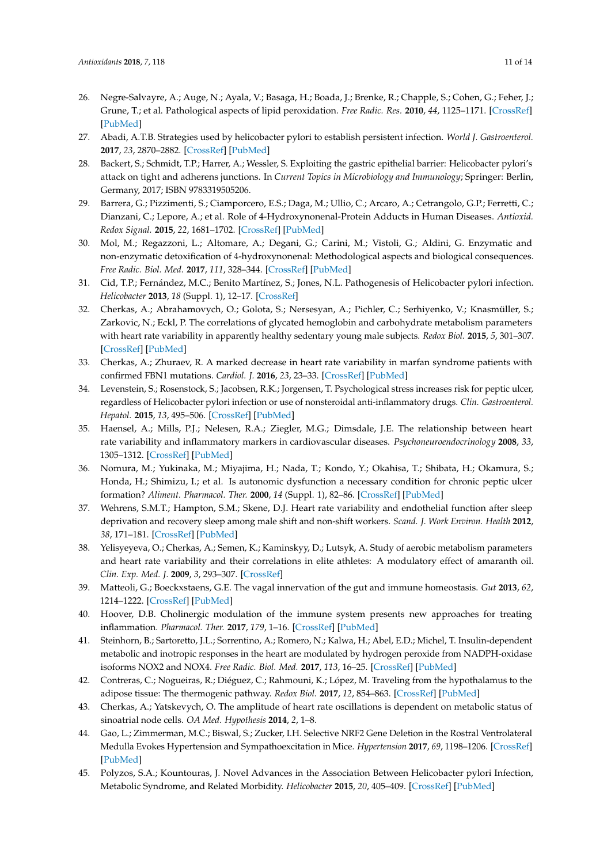- <span id="page-10-0"></span>26. Negre-Salvayre, A.; Auge, N.; Ayala, V.; Basaga, H.; Boada, J.; Brenke, R.; Chapple, S.; Cohen, G.; Feher, J.; Grune, T.; et al. Pathological aspects of lipid peroxidation. *Free Radic. Res.* **2010**, *44*, 1125–1171. [\[CrossRef\]](http://dx.doi.org/10.3109/10715762.2010.498478) [\[PubMed\]](http://www.ncbi.nlm.nih.gov/pubmed/20836660)
- <span id="page-10-1"></span>27. Abadi, A.T.B. Strategies used by helicobacter pylori to establish persistent infection. *World J. Gastroenterol.* **2017**, *23*, 2870–2882. [\[CrossRef\]](http://dx.doi.org/10.3748/wjg.v23.i16.2870) [\[PubMed\]](http://www.ncbi.nlm.nih.gov/pubmed/28522905)
- <span id="page-10-2"></span>28. Backert, S.; Schmidt, T.P.; Harrer, A.; Wessler, S. Exploiting the gastric epithelial barrier: Helicobacter pylori's attack on tight and adherens junctions. In *Current Topics in Microbiology and Immunology*; Springer: Berlin, Germany, 2017; ISBN 9783319505206.
- <span id="page-10-3"></span>29. Barrera, G.; Pizzimenti, S.; Ciamporcero, E.S.; Daga, M.; Ullio, C.; Arcaro, A.; Cetrangolo, G.P.; Ferretti, C.; Dianzani, C.; Lepore, A.; et al. Role of 4-Hydroxynonenal-Protein Adducts in Human Diseases. *Antioxid. Redox Signal.* **2015**, *22*, 1681–1702. [\[CrossRef\]](http://dx.doi.org/10.1089/ars.2014.6166) [\[PubMed\]](http://www.ncbi.nlm.nih.gov/pubmed/25365742)
- <span id="page-10-4"></span>30. Mol, M.; Regazzoni, L.; Altomare, A.; Degani, G.; Carini, M.; Vistoli, G.; Aldini, G. Enzymatic and non-enzymatic detoxification of 4-hydroxynonenal: Methodological aspects and biological consequences. *Free Radic. Biol. Med.* **2017**, *111*, 328–344. [\[CrossRef\]](http://dx.doi.org/10.1016/j.freeradbiomed.2017.01.036) [\[PubMed\]](http://www.ncbi.nlm.nih.gov/pubmed/28161307)
- <span id="page-10-5"></span>31. Cid, T.P.; Fernández, M.C.; Benito Martínez, S.; Jones, N.L. Pathogenesis of Helicobacter pylori infection. *Helicobacter* **2013**, *18* (Suppl. 1), 12–17. [\[CrossRef\]](http://dx.doi.org/10.1111/hel.12076)
- <span id="page-10-6"></span>32. Cherkas, A.; Abrahamovych, O.; Golota, S.; Nersesyan, A.; Pichler, C.; Serhiyenko, V.; Knasmüller, S.; Zarkovic, N.; Eckl, P. The correlations of glycated hemoglobin and carbohydrate metabolism parameters with heart rate variability in apparently healthy sedentary young male subjects. *Redox Biol.* **2015**, *5*, 301–307. [\[CrossRef\]](http://dx.doi.org/10.1016/j.redox.2015.05.007) [\[PubMed\]](http://www.ncbi.nlm.nih.gov/pubmed/26092779)
- <span id="page-10-7"></span>33. Cherkas, A.; Zhuraev, R. A marked decrease in heart rate variability in marfan syndrome patients with confirmed FBN1 mutations. *Cardiol. J.* **2016**, *23*, 23–33. [\[CrossRef\]](http://dx.doi.org/10.5603/CJ.a2015.0076) [\[PubMed\]](http://www.ncbi.nlm.nih.gov/pubmed/26503076)
- <span id="page-10-19"></span>34. Levenstein, S.; Rosenstock, S.; Jacobsen, R.K.; Jorgensen, T. Psychological stress increases risk for peptic ulcer, regardless of Helicobacter pylori infection or use of nonsteroidal anti-inflammatory drugs. *Clin. Gastroenterol. Hepatol.* **2015**, *13*, 495–506. [\[CrossRef\]](http://dx.doi.org/10.1016/j.cgh.2014.07.052) [\[PubMed\]](http://www.ncbi.nlm.nih.gov/pubmed/25111233)
- <span id="page-10-8"></span>35. Haensel, A.; Mills, P.J.; Nelesen, R.A.; Ziegler, M.G.; Dimsdale, J.E. The relationship between heart rate variability and inflammatory markers in cardiovascular diseases. *Psychoneuroendocrinology* **2008**, *33*, 1305–1312. [\[CrossRef\]](http://dx.doi.org/10.1016/j.psyneuen.2008.08.007) [\[PubMed\]](http://www.ncbi.nlm.nih.gov/pubmed/18819754)
- <span id="page-10-9"></span>36. Nomura, M.; Yukinaka, M.; Miyajima, H.; Nada, T.; Kondo, Y.; Okahisa, T.; Shibata, H.; Okamura, S.; Honda, H.; Shimizu, I.; et al. Is autonomic dysfunction a necessary condition for chronic peptic ulcer formation? *Aliment. Pharmacol. Ther.* **2000**, *14* (Suppl. 1), 82–86. [\[CrossRef\]](http://dx.doi.org/10.1046/j.1365-2036.2000.014s1082.x) [\[PubMed\]](http://www.ncbi.nlm.nih.gov/pubmed/10807408)
- <span id="page-10-10"></span>37. Wehrens, S.M.T.; Hampton, S.M.; Skene, D.J. Heart rate variability and endothelial function after sleep deprivation and recovery sleep among male shift and non-shift workers. *Scand. J. Work Environ. Health* **2012**, *38*, 171–181. [\[CrossRef\]](http://dx.doi.org/10.5271/sjweh.3197) [\[PubMed\]](http://www.ncbi.nlm.nih.gov/pubmed/21953310)
- <span id="page-10-11"></span>38. Yelisyeyeva, O.; Cherkas, A.; Semen, K.; Kaminskyy, D.; Lutsyk, A. Study of aerobic metabolism parameters and heart rate variability and their correlations in elite athletes: A modulatory effect of amaranth oil. *Clin. Exp. Med. J.* **2009**, *3*, 293–307. [\[CrossRef\]](http://dx.doi.org/10.1556/CEMED.3.2009.2.9)
- <span id="page-10-12"></span>39. Matteoli, G.; Boeckxstaens, G.E. The vagal innervation of the gut and immune homeostasis. *Gut* **2013**, *62*, 1214–1222. [\[CrossRef\]](http://dx.doi.org/10.1136/gutjnl-2012-302550) [\[PubMed\]](http://www.ncbi.nlm.nih.gov/pubmed/23023166)
- <span id="page-10-13"></span>40. Hoover, D.B. Cholinergic modulation of the immune system presents new approaches for treating inflammation. *Pharmacol. Ther.* **2017**, *179*, 1–16. [\[CrossRef\]](http://dx.doi.org/10.1016/j.pharmthera.2017.05.002) [\[PubMed\]](http://www.ncbi.nlm.nih.gov/pubmed/28529069)
- <span id="page-10-14"></span>41. Steinhorn, B.; Sartoretto, J.L.; Sorrentino, A.; Romero, N.; Kalwa, H.; Abel, E.D.; Michel, T. Insulin-dependent metabolic and inotropic responses in the heart are modulated by hydrogen peroxide from NADPH-oxidase isoforms NOX2 and NOX4. *Free Radic. Biol. Med.* **2017**, *113*, 16–25. [\[CrossRef\]](http://dx.doi.org/10.1016/j.freeradbiomed.2017.09.006) [\[PubMed\]](http://www.ncbi.nlm.nih.gov/pubmed/28917508)
- <span id="page-10-15"></span>42. Contreras, C.; Nogueiras, R.; Diéguez, C.; Rahmouni, K.; López, M. Traveling from the hypothalamus to the adipose tissue: The thermogenic pathway. *Redox Biol.* **2017**, *12*, 854–863. [\[CrossRef\]](http://dx.doi.org/10.1016/j.redox.2017.04.019) [\[PubMed\]](http://www.ncbi.nlm.nih.gov/pubmed/28448947)
- <span id="page-10-16"></span>43. Cherkas, A.; Yatskevych, O. The amplitude of heart rate oscillations is dependent on metabolic status of sinoatrial node cells. *OA Med. Hypothesis* **2014**, *2*, 1–8.
- <span id="page-10-17"></span>44. Gao, L.; Zimmerman, M.C.; Biswal, S.; Zucker, I.H. Selective NRF2 Gene Deletion in the Rostral Ventrolateral Medulla Evokes Hypertension and Sympathoexcitation in Mice. *Hypertension* **2017**, *69*, 1198–1206. [\[CrossRef\]](http://dx.doi.org/10.1161/HYPERTENSIONAHA.117.09123) [\[PubMed\]](http://www.ncbi.nlm.nih.gov/pubmed/28461605)
- <span id="page-10-18"></span>45. Polyzos, S.A.; Kountouras, J. Novel Advances in the Association Between Helicobacter pylori Infection, Metabolic Syndrome, and Related Morbidity. *Helicobacter* **2015**, *20*, 405–409. [\[CrossRef\]](http://dx.doi.org/10.1111/hel.12228) [\[PubMed\]](http://www.ncbi.nlm.nih.gov/pubmed/25854149)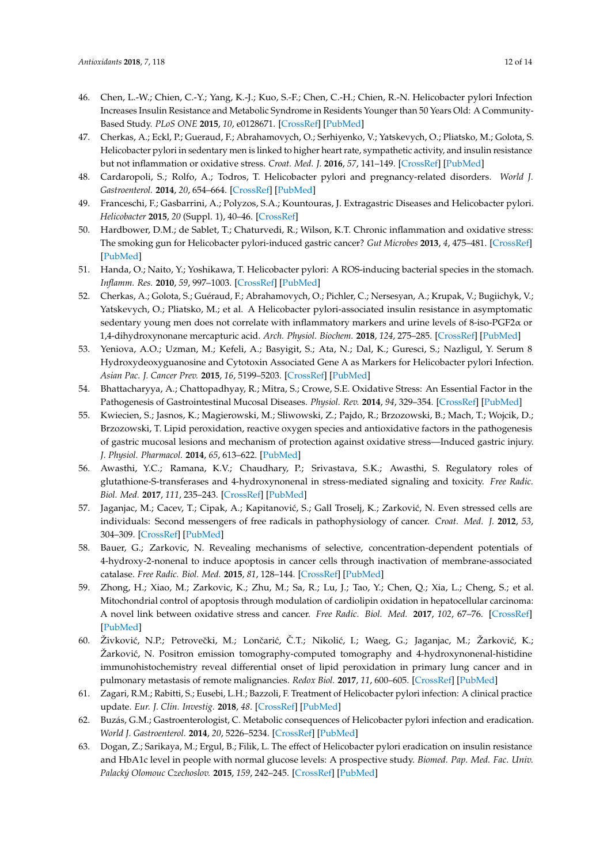- 46. Chen, L.-W.; Chien, C.-Y.; Yang, K.-J.; Kuo, S.-F.; Chen, C.-H.; Chien, R.-N. Helicobacter pylori Infection Increases Insulin Resistance and Metabolic Syndrome in Residents Younger than 50 Years Old: A Community-Based Study. *PLoS ONE* **2015**, *10*, e0128671. [\[CrossRef\]](http://dx.doi.org/10.1371/journal.pone.0128671) [\[PubMed\]](http://www.ncbi.nlm.nih.gov/pubmed/26020514)
- <span id="page-11-3"></span>47. Cherkas, A.; Eckl, P.; Gueraud, F.; Abrahamovych, O.; Serhiyenko, V.; Yatskevych, O.; Pliatsko, M.; Golota, S. Helicobacter pylori in sedentary men is linked to higher heart rate, sympathetic activity, and insulin resistance but not inflammation or oxidative stress. *Croat. Med. J.* **2016**, *57*, 141–149. [\[CrossRef\]](http://dx.doi.org/10.3325/cmj.2016.57.141) [\[PubMed\]](http://www.ncbi.nlm.nih.gov/pubmed/27106356)
- 48. Cardaropoli, S.; Rolfo, A.; Todros, T. Helicobacter pylori and pregnancy-related disorders. *World J. Gastroenterol.* **2014**, *20*, 654–664. [\[CrossRef\]](http://dx.doi.org/10.3748/wjg.v20.i3.654) [\[PubMed\]](http://www.ncbi.nlm.nih.gov/pubmed/24574739)
- <span id="page-11-0"></span>49. Franceschi, F.; Gasbarrini, A.; Polyzos, S.A.; Kountouras, J. Extragastric Diseases and Helicobacter pylori. *Helicobacter* **2015**, *20* (Suppl. 1), 40–46. [\[CrossRef\]](http://dx.doi.org/10.1111/hel.12256)
- <span id="page-11-1"></span>50. Hardbower, D.M.; de Sablet, T.; Chaturvedi, R.; Wilson, K.T. Chronic inflammation and oxidative stress: The smoking gun for Helicobacter pylori-induced gastric cancer? *Gut Microbes* **2013**, *4*, 475–481. [\[CrossRef\]](http://dx.doi.org/10.4161/gmic.25583) [\[PubMed\]](http://www.ncbi.nlm.nih.gov/pubmed/23811829)
- 51. Handa, O.; Naito, Y.; Yoshikawa, T. Helicobacter pylori: A ROS-inducing bacterial species in the stomach. *Inflamm. Res.* **2010**, *59*, 997–1003. [\[CrossRef\]](http://dx.doi.org/10.1007/s00011-010-0245-x) [\[PubMed\]](http://www.ncbi.nlm.nih.gov/pubmed/20820854)
- <span id="page-11-2"></span>52. Cherkas, A.; Golota, S.; Guéraud, F.; Abrahamovych, O.; Pichler, C.; Nersesyan, A.; Krupak, V.; Bugiichyk, V.; Yatskevych, O.; Pliatsko, M.; et al. A Helicobacter pylori-associated insulin resistance in asymptomatic sedentary young men does not correlate with inflammatory markers and urine levels of 8-iso-PGF2α or 1,4-dihydroxynonane mercapturic acid. *Arch. Physiol. Biochem.* **2018**, *124*, 275–285. [\[CrossRef\]](http://dx.doi.org/10.1080/13813455.2017.1396346) [\[PubMed\]](http://www.ncbi.nlm.nih.gov/pubmed/29105496)
- <span id="page-11-4"></span>53. Yeniova, A.O.; Uzman, M.; Kefeli, A.; Basyigit, S.; Ata, N.; Dal, K.; Guresci, S.; Nazligul, Y. Serum 8 Hydroxydeoxyguanosine and Cytotoxin Associated Gene A as Markers for Helicobacter pylori Infection. *Asian Pac. J. Cancer Prev.* **2015**, *16*, 5199–5203. [\[CrossRef\]](http://dx.doi.org/10.7314/APJCP.2015.16.13.5199) [\[PubMed\]](http://www.ncbi.nlm.nih.gov/pubmed/26225653)
- <span id="page-11-5"></span>54. Bhattacharyya, A.; Chattopadhyay, R.; Mitra, S.; Crowe, S.E. Oxidative Stress: An Essential Factor in the Pathogenesis of Gastrointestinal Mucosal Diseases. *Physiol. Rev.* **2014**, *94*, 329–354. [\[CrossRef\]](http://dx.doi.org/10.1152/physrev.00040.2012) [\[PubMed\]](http://www.ncbi.nlm.nih.gov/pubmed/24692350)
- <span id="page-11-6"></span>55. Kwiecien, S.; Jasnos, K.; Magierowski, M.; Sliwowski, Z.; Pajdo, R.; Brzozowski, B.; Mach, T.; Wojcik, D.; Brzozowski, T. Lipid peroxidation, reactive oxygen species and antioxidative factors in the pathogenesis of gastric mucosal lesions and mechanism of protection against oxidative stress—Induced gastric injury. *J. Physiol. Pharmacol.* **2014**, *65*, 613–622. [\[PubMed\]](http://www.ncbi.nlm.nih.gov/pubmed/25371520)
- <span id="page-11-7"></span>56. Awasthi, Y.C.; Ramana, K.V.; Chaudhary, P.; Srivastava, S.K.; Awasthi, S. Regulatory roles of glutathione-S-transferases and 4-hydroxynonenal in stress-mediated signaling and toxicity. *Free Radic. Biol. Med.* **2017**, *111*, 235–243. [\[CrossRef\]](http://dx.doi.org/10.1016/j.freeradbiomed.2016.10.493) [\[PubMed\]](http://www.ncbi.nlm.nih.gov/pubmed/27794453)
- <span id="page-11-8"></span>57. Jaganjac, M.; Cacev, T.; Cipak, A.; Kapitanović, S.; Gall Troselj, K.; Zarković, N. Even stressed cells are individuals: Second messengers of free radicals in pathophysiology of cancer. *Croat. Med. J.* **2012**, *53*, 304–309. [\[CrossRef\]](http://dx.doi.org/10.3325/cmj.2012.53.304) [\[PubMed\]](http://www.ncbi.nlm.nih.gov/pubmed/22911521)
- 58. Bauer, G.; Zarkovic, N. Revealing mechanisms of selective, concentration-dependent potentials of 4-hydroxy-2-nonenal to induce apoptosis in cancer cells through inactivation of membrane-associated catalase. *Free Radic. Biol. Med.* **2015**, *81*, 128–144. [\[CrossRef\]](http://dx.doi.org/10.1016/j.freeradbiomed.2015.01.010) [\[PubMed\]](http://www.ncbi.nlm.nih.gov/pubmed/25619142)
- 59. Zhong, H.; Xiao, M.; Zarkovic, K.; Zhu, M.; Sa, R.; Lu, J.; Tao, Y.; Chen, Q.; Xia, L.; Cheng, S.; et al. Mitochondrial control of apoptosis through modulation of cardiolipin oxidation in hepatocellular carcinoma: A novel link between oxidative stress and cancer. *Free Radic. Biol. Med.* **2017**, *102*, 67–76. [\[CrossRef\]](http://dx.doi.org/10.1016/j.freeradbiomed.2016.10.494) [\[PubMed\]](http://www.ncbi.nlm.nih.gov/pubmed/27838437)
- <span id="page-11-9"></span>60. Živković, N.P.; Petrovečki, M.; Lončarić, Č.T.; Nikolić, I.; Waeg, G.; Jaganjac, M.; Žarković, K.; Žarković, N. Positron emission tomography-computed tomography and 4-hydroxynonenal-histidine immunohistochemistry reveal differential onset of lipid peroxidation in primary lung cancer and in pulmonary metastasis of remote malignancies. *Redox Biol.* **2017**, *11*, 600–605. [\[CrossRef\]](http://dx.doi.org/10.1016/j.redox.2017.01.005) [\[PubMed\]](http://www.ncbi.nlm.nih.gov/pubmed/28110216)
- <span id="page-11-10"></span>61. Zagari, R.M.; Rabitti, S.; Eusebi, L.H.; Bazzoli, F. Treatment of Helicobacter pylori infection: A clinical practice update. *Eur. J. Clin. Investig.* **2018**, *48*. [\[CrossRef\]](http://dx.doi.org/10.1111/eci.12857) [\[PubMed\]](http://www.ncbi.nlm.nih.gov/pubmed/29144559)
- <span id="page-11-11"></span>62. Buzás, G.M.; Gastroenterologist, C. Metabolic consequences of Helicobacter pylori infection and eradication. *World J. Gastroenterol.* **2014**, *20*, 5226–5234. [\[CrossRef\]](http://dx.doi.org/10.3748/wjg.v20.i18.5226) [\[PubMed\]](http://www.ncbi.nlm.nih.gov/pubmed/24833852)
- 63. Dogan, Z.; Sarikaya, M.; Ergul, B.; Filik, L. The effect of Helicobacter pylori eradication on insulin resistance and HbA1c level in people with normal glucose levels: A prospective study. *Biomed. Pap. Med. Fac. Univ. Palacký Olomouc Czechoslov.* **2015**, *159*, 242–245. [\[CrossRef\]](http://dx.doi.org/10.5507/bp.2014.036) [\[PubMed\]](http://www.ncbi.nlm.nih.gov/pubmed/24993741)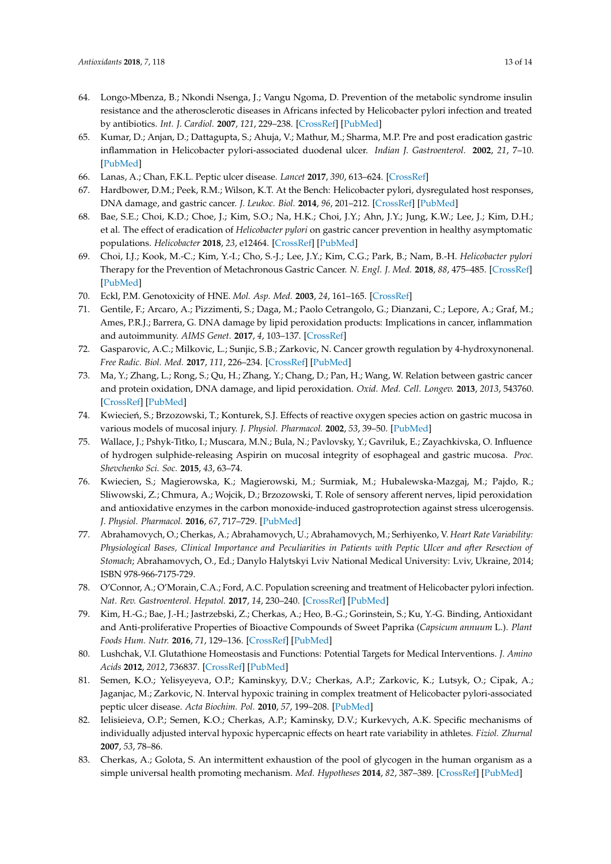- <span id="page-12-0"></span>64. Longo-Mbenza, B.; Nkondi Nsenga, J.; Vangu Ngoma, D. Prevention of the metabolic syndrome insulin resistance and the atherosclerotic diseases in Africans infected by Helicobacter pylori infection and treated by antibiotics. *Int. J. Cardiol.* **2007**, *121*, 229–238. [\[CrossRef\]](http://dx.doi.org/10.1016/j.ijcard.2006.12.003) [\[PubMed\]](http://www.ncbi.nlm.nih.gov/pubmed/17368586)
- <span id="page-12-1"></span>65. Kumar, D.; Anjan, D.; Dattagupta, S.; Ahuja, V.; Mathur, M.; Sharma, M.P. Pre and post eradication gastric inflammation in Helicobacter pylori-associated duodenal ulcer. *Indian J. Gastroenterol.* **2002**, *21*, 7–10. [\[PubMed\]](http://www.ncbi.nlm.nih.gov/pubmed/11871846)
- <span id="page-12-2"></span>66. Lanas, A.; Chan, F.K.L. Peptic ulcer disease. *Lancet* **2017**, *390*, 613–624. [\[CrossRef\]](http://dx.doi.org/10.1016/S0140-6736(16)32404-7)
- <span id="page-12-3"></span>67. Hardbower, D.M.; Peek, R.M.; Wilson, K.T. At the Bench: Helicobacter pylori, dysregulated host responses, DNA damage, and gastric cancer. *J. Leukoc. Biol.* **2014**, *96*, 201–212. [\[CrossRef\]](http://dx.doi.org/10.1189/jlb.4BT0214-099R) [\[PubMed\]](http://www.ncbi.nlm.nih.gov/pubmed/24868089)
- <span id="page-12-4"></span>68. Bae, S.E.; Choi, K.D.; Choe, J.; Kim, S.O.; Na, H.K.; Choi, J.Y.; Ahn, J.Y.; Jung, K.W.; Lee, J.; Kim, D.H.; et al. The effect of eradication of *Helicobacter pylori* on gastric cancer prevention in healthy asymptomatic populations. *Helicobacter* **2018**, *23*, e12464. [\[CrossRef\]](http://dx.doi.org/10.1111/hel.12464) [\[PubMed\]](http://www.ncbi.nlm.nih.gov/pubmed/29345408)
- <span id="page-12-5"></span>69. Choi, I.J.; Kook, M.-C.; Kim, Y.-I.; Cho, S.-J.; Lee, J.Y.; Kim, C.G.; Park, B.; Nam, B.-H. *Helicobacter pylori* Therapy for the Prevention of Metachronous Gastric Cancer. *N. Engl. J. Med.* **2018**, *88*, 475–485. [\[CrossRef\]](http://dx.doi.org/10.1056/NEJMoa1708423) [\[PubMed\]](http://www.ncbi.nlm.nih.gov/pubmed/29562147)
- <span id="page-12-6"></span>70. Eckl, P.M. Genotoxicity of HNE. *Mol. Asp. Med.* **2003**, *24*, 161–165. [\[CrossRef\]](http://dx.doi.org/10.1016/S0098-2997(03)00010-4)
- <span id="page-12-7"></span>71. Gentile, F.; Arcaro, A.; Pizzimenti, S.; Daga, M.; Paolo Cetrangolo, G.; Dianzani, C.; Lepore, A.; Graf, M.; Ames, P.R.J.; Barrera, G. DNA damage by lipid peroxidation products: Implications in cancer, inflammation and autoimmunity. *AIMS Genet.* **2017**, *4*, 103–137. [\[CrossRef\]](http://dx.doi.org/10.3934/genet.2017.2.103)
- <span id="page-12-8"></span>72. Gasparovic, A.C.; Milkovic, L.; Sunjic, S.B.; Zarkovic, N. Cancer growth regulation by 4-hydroxynonenal. *Free Radic. Biol. Med.* **2017**, *111*, 226–234. [\[CrossRef\]](http://dx.doi.org/10.1016/j.freeradbiomed.2017.01.030) [\[PubMed\]](http://www.ncbi.nlm.nih.gov/pubmed/28131901)
- <span id="page-12-9"></span>73. Ma, Y.; Zhang, L.; Rong, S.; Qu, H.; Zhang, Y.; Chang, D.; Pan, H.; Wang, W. Relation between gastric cancer and protein oxidation, DNA damage, and lipid peroxidation. *Oxid. Med. Cell. Longev.* **2013**, *2013*, 543760. [\[CrossRef\]](http://dx.doi.org/10.1155/2013/543760) [\[PubMed\]](http://www.ncbi.nlm.nih.gov/pubmed/24454985)
- <span id="page-12-10"></span>74. Kwiecień, S.; Brzozowski, T.; Konturek, S.J. Effects of reactive oxygen species action on gastric mucosa in various models of mucosal injury. *J. Physiol. Pharmacol.* **2002**, *53*, 39–50. [\[PubMed\]](http://www.ncbi.nlm.nih.gov/pubmed/11939718)
- <span id="page-12-11"></span>75. Wallace, J.; Pshyk-Titko, I.; Muscara, M.N.; Bula, N.; Pavlovsky, Y.; Gavriluk, E.; Zayachkivska, O. Influence of hydrogen sulphide-releasing Aspirin on mucosal integrity of esophageal and gastric mucosa. *Proc. Shevchenko Sci. Soc.* **2015**, *43*, 63–74.
- <span id="page-12-12"></span>76. Kwiecien, S.; Magierowska, K.; Magierowski, M.; Surmiak, M.; Hubalewska-Mazgaj, M.; Pajdo, R.; Sliwowski, Z.; Chmura, A.; Wojcik, D.; Brzozowski, T. Role of sensory afferent nerves, lipid peroxidation and antioxidative enzymes in the carbon monoxide-induced gastroprotection against stress ulcerogensis. *J. Physiol. Pharmacol.* **2016**, *67*, 717–729. [\[PubMed\]](http://www.ncbi.nlm.nih.gov/pubmed/28011952)
- <span id="page-12-13"></span>77. Abrahamovych, O.; Cherkas, A.; Abrahamovych, U.; Abrahamovych, M.; Serhiyenko, V. *Heart Rate Variability: Physiological Bases, Clinical Importance and Peculiarities in Patients with Peptic Ulcer and after Resection of Stomach*; Abrahamovych, O., Ed.; Danylo Halytskyi Lviv National Medical University: Lviv, Ukraine, 2014; ISBN 978-966-7175-729.
- <span id="page-12-14"></span>78. O'Connor, A.; O'Morain, C.A.; Ford, A.C. Population screening and treatment of Helicobacter pylori infection. *Nat. Rev. Gastroenterol. Hepatol.* **2017**, *14*, 230–240. [\[CrossRef\]](http://dx.doi.org/10.1038/nrgastro.2016.195) [\[PubMed\]](http://www.ncbi.nlm.nih.gov/pubmed/28053340)
- <span id="page-12-15"></span>79. Kim, H.-G.; Bae, J.-H.; Jastrzebski, Z.; Cherkas, A.; Heo, B.-G.; Gorinstein, S.; Ku, Y.-G. Binding, Antioxidant and Anti-proliferative Properties of Bioactive Compounds of Sweet Paprika (*Capsicum annuum* L.). *Plant Foods Hum. Nutr.* **2016**, *71*, 129–136. [\[CrossRef\]](http://dx.doi.org/10.1007/s11130-016-0550-9) [\[PubMed\]](http://www.ncbi.nlm.nih.gov/pubmed/27184000)
- <span id="page-12-16"></span>80. Lushchak, V.I. Glutathione Homeostasis and Functions: Potential Targets for Medical Interventions. *J. Amino Acids* **2012**, *2012*, 736837. [\[CrossRef\]](http://dx.doi.org/10.1155/2012/736837) [\[PubMed\]](http://www.ncbi.nlm.nih.gov/pubmed/22500213)
- <span id="page-12-17"></span>81. Semen, K.O.; Yelisyeyeva, O.P.; Kaminskyy, D.V.; Cherkas, A.P.; Zarkovic, K.; Lutsyk, O.; Cipak, A.; Jaganjac, M.; Zarkovic, N. Interval hypoxic training in complex treatment of Helicobacter pylori-associated peptic ulcer disease. *Acta Biochim. Pol.* **2010**, *57*, 199–208. [\[PubMed\]](http://www.ncbi.nlm.nih.gov/pubmed/20532252)
- <span id="page-12-18"></span>82. Ielisieieva, O.P.; Semen, K.O.; Cherkas, A.P.; Kaminsky, D.V.; Kurkevych, A.K. Specific mechanisms of individually adjusted interval hypoxic hypercapnic effects on heart rate variability in athletes. *Fiziol. Zhurnal* **2007**, *53*, 78–86.
- <span id="page-12-19"></span>83. Cherkas, A.; Golota, S. An intermittent exhaustion of the pool of glycogen in the human organism as a simple universal health promoting mechanism. *Med. Hypotheses* **2014**, *82*, 387–389. [\[CrossRef\]](http://dx.doi.org/10.1016/j.mehy.2014.01.009) [\[PubMed\]](http://www.ncbi.nlm.nih.gov/pubmed/24495563)